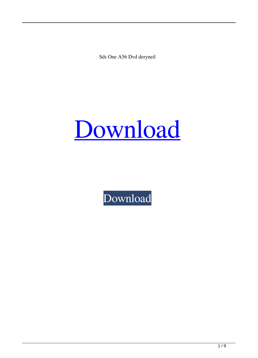Sds One A56 Dvd deryneil



[Download](http://evacdir.com/appraiser.stride?drivingpromotions=ZG93bmxvYWR8U1E3ZDNKcmZId3hOalV5TkRZek1EVXdmSHd5TlRjMGZId29UU2tnY21WaFpDMWliRzluSUZ0R1lYTjBJRWRGVGww=&ostracize=c2RzIG9uZSBhNTYgZHZkc2R==)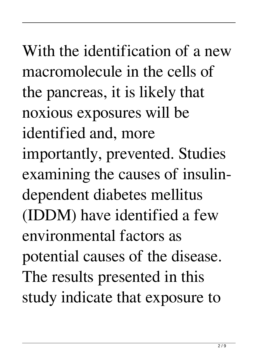With the identification of a new macromolecule in the cells of the pancreas, it is likely that noxious exposures will be identified and, more importantly, prevented. Studies examining the causes of insulindependent diabetes mellitus (IDDM) have identified a few environmental factors as potential causes of the disease. The results presented in this study indicate that exposure to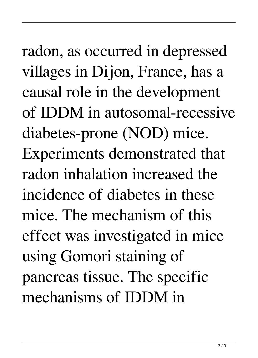radon, as occurred in depressed villages in Dijon, France, has a causal role in the development of IDDM in autosomal-recessive diabetes-prone (NOD) mice. Experiments demonstrated that radon inhalation increased the incidence of diabetes in these mice. The mechanism of this effect was investigated in mice using Gomori staining of pancreas tissue. The specific mechanisms of IDDM in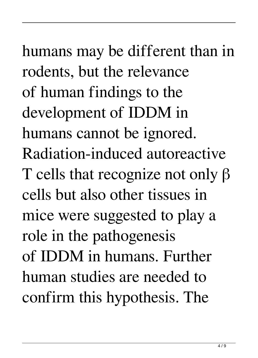humans may be different than in rodents, but the relevance of human findings to the development of IDDM in humans cannot be ignored. Radiation-induced autoreactive T cells that recognize not only β cells but also other tissues in mice were suggested to play a role in the pathogenesis of IDDM in humans. Further human studies are needed to confirm this hypothesis. The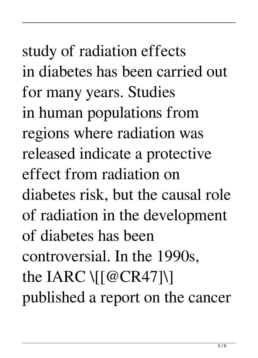study of radiation effects in diabetes has been carried out for many years. Studies in human populations from regions where radiation was released indicate a protective effect from radiation on diabetes risk, but the causal role of radiation in the development of diabetes has been controversial. In the 1990s, the IARC  $\sqrt{[@CR47]}$ published a report on the cancer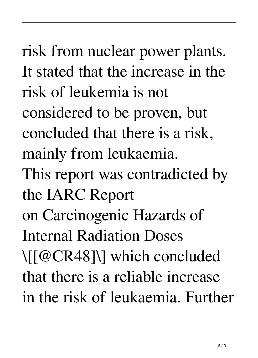risk from nuclear power plants. It stated that the increase in the risk of leukemia is not considered to be proven, but concluded that there is a risk, mainly from leukaemia. This report was contradicted by the IARC Report on Carcinogenic Hazards of Internal Radiation Doses \[[@CR48]\] which concluded that there is a reliable increase in the risk of leukaemia. Further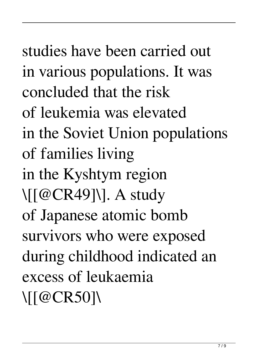studies have been carried out in various populations. It was concluded that the risk of leukemia was elevated in the Soviet Union populations of families living in the Kyshtym region \[[@CR49]\]. A study of Japanese atomic bomb survivors who were exposed during childhood indicated an excess of leukaemia \[[@CR50]\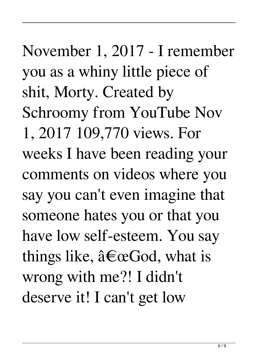November 1, 2017 - I remember you as a whiny little piece of shit, Morty. Created by Schroomy from YouTube Nov 1, 2017 109,770 views. For weeks I have been reading your comments on videos where you say you can't even imagine that someone hates you or that you have low self-esteem. You say things like,  $\hat{a} \in \mathbb{C}$  God, what is wrong with me?! I didn't deserve it! I can't get low